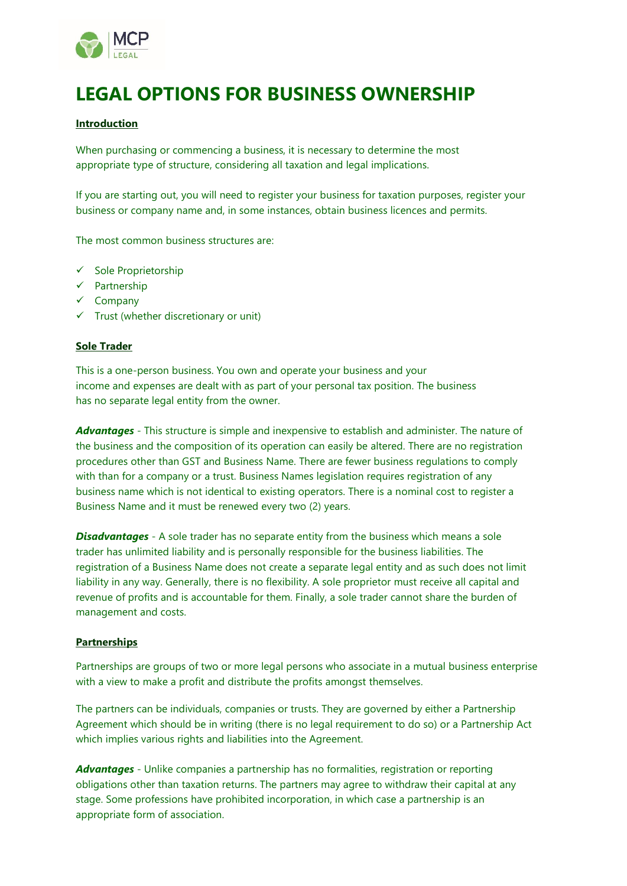

# **LEGAL OPTIONS FOR BUSINESS OWNERSHIP**

#### **Introduction**

When purchasing or commencing a business, it is necessary to determine the most appropriate type of structure, considering all taxation and legal implications.

If you are starting out, you will need to register your business for taxation purposes, register your business or company name and, in some instances, obtain business licences and permits.

The most common business structures are:

- ✓ Sole Proprietorship
- ✓ Partnership
- ✓ Company
- $\checkmark$  Trust (whether discretionary or unit)

#### **Sole Trader**

This is a one-person business. You own and operate your business and your income and expenses are dealt with as part of your personal tax position. The business has no separate legal entity from the owner.

*Advantages* - This structure is simple and inexpensive to establish and administer. The nature of the business and the composition of its operation can easily be altered. There are no registration procedures other than GST and Business Name. There are fewer business regulations to comply with than for a company or a trust. Business Names legislation requires registration of any business name which is not identical to existing operators. There is a nominal cost to register a Business Name and it must be renewed every two (2) years.

**Disadvantages** - A sole trader has no separate entity from the business which means a sole trader has unlimited liability and is personally responsible for the business liabilities. The registration of a Business Name does not create a separate legal entity and as such does not limit liability in any way. Generally, there is no flexibility. A sole proprietor must receive all capital and revenue of profits and is accountable for them. Finally, a sole trader cannot share the burden of management and costs.

# **Partnerships**

Partnerships are groups of two or more legal persons who associate in a mutual business enterprise with a view to make a profit and distribute the profits amongst themselves.

The partners can be individuals, companies or trusts. They are governed by either a Partnership Agreement which should be in writing (there is no legal requirement to do so) or a Partnership Act which implies various rights and liabilities into the Agreement.

*Advantages* - Unlike companies a partnership has no formalities, registration or reporting obligations other than taxation returns. The partners may agree to withdraw their capital at any stage. Some professions have prohibited incorporation, in which case a partnership is an appropriate form of association.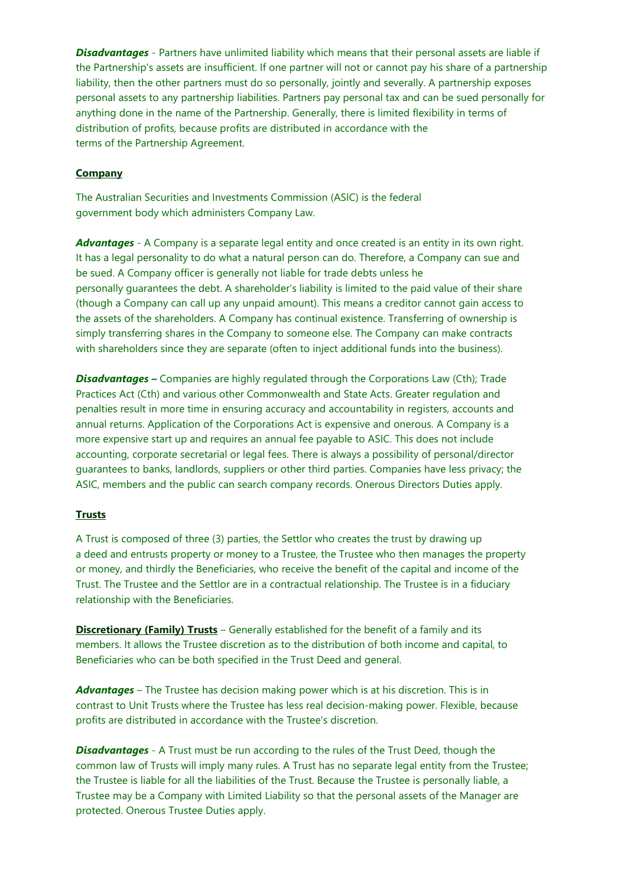**Disadvantages** - Partners have unlimited liability which means that their personal assets are liable if the Partnership's assets are insufficient. If one partner will not or cannot pay his share of a partnership liability, then the other partners must do so personally, jointly and severally. A partnership exposes personal assets to any partnership liabilities. Partners pay personal tax and can be sued personally for anything done in the name of the Partnership. Generally, there is limited flexibility in terms of distribution of profits, because profits are distributed in accordance with the terms of the Partnership Agreement.

# **Company**

The Australian Securities and Investments Commission (ASIC) is the federal government body which administers Company Law.

*Advantages* - A Company is a separate legal entity and once created is an entity in its own right. It has a legal personality to do what a natural person can do. Therefore, a Company can sue and be sued. A Company officer is generally not liable for trade debts unless he personally guarantees the debt. A shareholder's liability is limited to the paid value of their share (though a Company can call up any unpaid amount). This means a creditor cannot gain access to the assets of the shareholders. A Company has continual existence. Transferring of ownership is simply transferring shares in the Company to someone else. The Company can make contracts with shareholders since they are separate (often to inject additional funds into the business).

*Disadvantages* – Companies are highly regulated through the Corporations Law (Cth); Trade Practices Act (Cth) and various other Commonwealth and State Acts. Greater regulation and penalties result in more time in ensuring accuracy and accountability in registers, accounts and annual returns. Application of the Corporations Act is expensive and onerous. A Company is a more expensive start up and requires an annual fee payable to ASIC. This does not include accounting, corporate secretarial or legal fees. There is always a possibility of personal/director guarantees to banks, landlords, suppliers or other third parties. Companies have less privacy; the ASIC, members and the public can search company records. Onerous Directors Duties apply.

# **Trusts**

A Trust is composed of three (3) parties, the Settlor who creates the trust by drawing up a deed and entrusts property or money to a Trustee, the Trustee who then manages the property or money, and thirdly the Beneficiaries, who receive the benefit of the capital and income of the Trust. The Trustee and the Settlor are in a contractual relationship. The Trustee is in a fiduciary relationship with the Beneficiaries.

**Discretionary (Family) Trusts** – Generally established for the benefit of a family and its members. It allows the Trustee discretion as to the distribution of both income and capital, to Beneficiaries who can be both specified in the Trust Deed and general.

*Advantages* – The Trustee has decision making power which is at his discretion. This is in contrast to Unit Trusts where the Trustee has less real decision-making power. Flexible, because profits are distributed in accordance with the Trustee's discretion.

**Disadvantages** - A Trust must be run according to the rules of the Trust Deed, though the common law of Trusts will imply many rules. A Trust has no separate legal entity from the Trustee; the Trustee is liable for all the liabilities of the Trust. Because the Trustee is personally liable, a Trustee may be a Company with Limited Liability so that the personal assets of the Manager are protected. Onerous Trustee Duties apply.